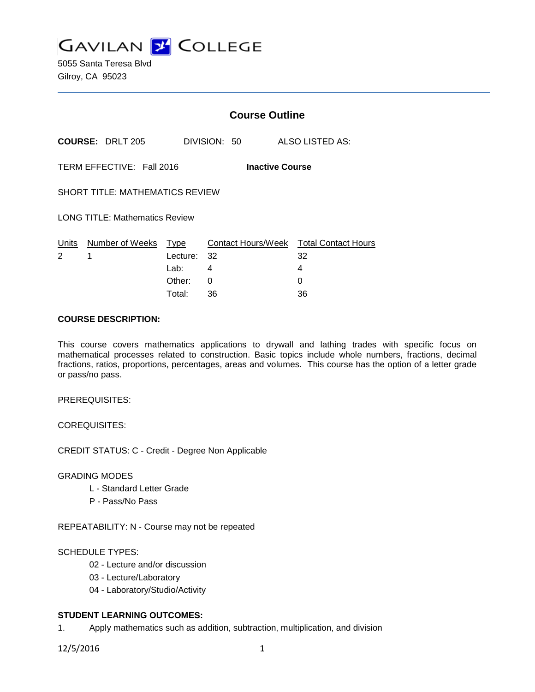**GAVILAN Z COLLEGE** 

5055 Santa Teresa Blvd Gilroy, CA 95023

|                                        |                                 | <b>Course Outline</b> |                        |                                              |  |
|----------------------------------------|---------------------------------|-----------------------|------------------------|----------------------------------------------|--|
|                                        | <b>COURSE: DRLT 205</b>         |                       | DIVISION: 50           | ALSO LISTED AS:                              |  |
|                                        | TERM EFFECTIVE: Fall 2016       |                       | <b>Inactive Course</b> |                                              |  |
| <b>SHORT TITLE: MATHEMATICS REVIEW</b> |                                 |                       |                        |                                              |  |
| <b>LONG TITLE: Mathematics Review</b>  |                                 |                       |                        |                                              |  |
| $\mathcal{P}$                          | Units Number of Weeks Type<br>1 | Lecture: 32           |                        | Contact Hours/Week Total Contact Hours<br>32 |  |
|                                        |                                 | Lab: Lab              | 4                      | 4                                            |  |
|                                        |                                 | Other:                | $\Omega$               | 0                                            |  |
|                                        |                                 | Total:                | 36                     | 36                                           |  |

## **COURSE DESCRIPTION:**

This course covers mathematics applications to drywall and lathing trades with specific focus on mathematical processes related to construction. Basic topics include whole numbers, fractions, decimal fractions, ratios, proportions, percentages, areas and volumes. This course has the option of a letter grade or pass/no pass.

PREREQUISITES:

COREQUISITES:

CREDIT STATUS: C - Credit - Degree Non Applicable

GRADING MODES

- L Standard Letter Grade
- P Pass/No Pass

REPEATABILITY: N - Course may not be repeated

SCHEDULE TYPES:

- 02 Lecture and/or discussion
- 03 Lecture/Laboratory
- 04 Laboratory/Studio/Activity

# **STUDENT LEARNING OUTCOMES:**

1. Apply mathematics such as addition, subtraction, multiplication, and division

12/5/2016 1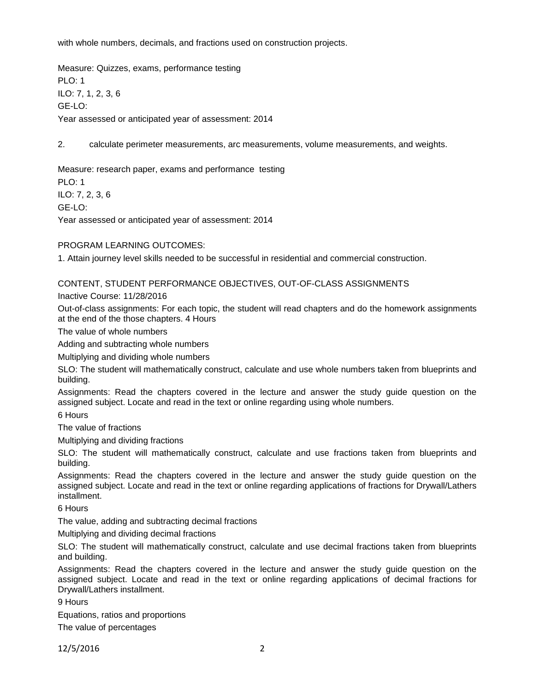with whole numbers, decimals, and fractions used on construction projects.

Measure: Quizzes, exams, performance testing PLO: 1 ILO: 7, 1, 2, 3, 6 GE-LO: Year assessed or anticipated year of assessment: 2014

2. calculate perimeter measurements, arc measurements, volume measurements, and weights.

Measure: research paper, exams and performance testing PLO: 1 ILO: 7, 2, 3, 6 GE-LO:

Year assessed or anticipated year of assessment: 2014

PROGRAM LEARNING OUTCOMES:

1. Attain journey level skills needed to be successful in residential and commercial construction.

CONTENT, STUDENT PERFORMANCE OBJECTIVES, OUT-OF-CLASS ASSIGNMENTS

Inactive Course: 11/28/2016

Out-of-class assignments: For each topic, the student will read chapters and do the homework assignments at the end of the those chapters. 4 Hours

The value of whole numbers

Adding and subtracting whole numbers

Multiplying and dividing whole numbers

SLO: The student will mathematically construct, calculate and use whole numbers taken from blueprints and building.

Assignments: Read the chapters covered in the lecture and answer the study guide question on the assigned subject. Locate and read in the text or online regarding using whole numbers.

6 Hours

The value of fractions

Multiplying and dividing fractions

SLO: The student will mathematically construct, calculate and use fractions taken from blueprints and building.

Assignments: Read the chapters covered in the lecture and answer the study guide question on the assigned subject. Locate and read in the text or online regarding applications of fractions for Drywall/Lathers installment.

6 Hours

The value, adding and subtracting decimal fractions

Multiplying and dividing decimal fractions

SLO: The student will mathematically construct, calculate and use decimal fractions taken from blueprints and building.

Assignments: Read the chapters covered in the lecture and answer the study guide question on the assigned subject. Locate and read in the text or online regarding applications of decimal fractions for Drywall/Lathers installment.

9 Hours

Equations, ratios and proportions

The value of percentages

12/5/2016 2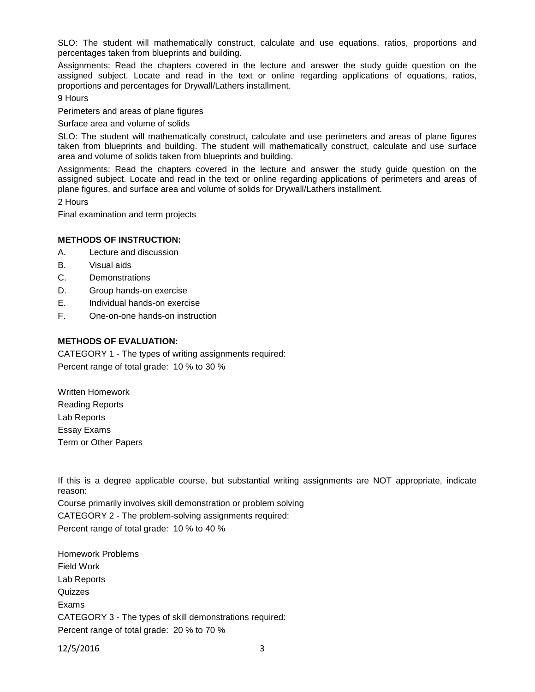SLO: The student will mathematically construct, calculate and use equations, ratios, proportions and percentages taken from blueprints and building.

Assignments: Read the chapters covered in the lecture and answer the study guide question on the assigned subject. Locate and read in the text or online regarding applications of equations, ratios, proportions and percentages for Drywall/Lathers installment.

9 Hours

Perimeters and areas of plane figures

Surface area and volume of solids

SLO: The student will mathematically construct, calculate and use perimeters and areas of plane figures taken from blueprints and building. The student will mathematically construct, calculate and use surface area and volume of solids taken from blueprints and building.

Assignments: Read the chapters covered in the lecture and answer the study guide question on the assigned subject. Locate and read in the text or online regarding applications of perimeters and areas of plane figures, and surface area and volume of solids for Drywall/Lathers installment.

2 Hours

Final examination and term projects

#### **METHODS OF INSTRUCTION:**

- A. Lecture and discussion
- B. Visual aids
- C. Demonstrations
- D. Group hands-on exercise
- E. Individual hands-on exercise
- F. One-on-one hands-on instruction

#### **METHODS OF EVALUATION:**

CATEGORY 1 - The types of writing assignments required: Percent range of total grade: 10 % to 30 %

Written Homework Reading Reports Lab Reports Essay Exams Term or Other Papers

If this is a degree applicable course, but substantial writing assignments are NOT appropriate, indicate reason:

Course primarily involves skill demonstration or problem solving CATEGORY 2 - The problem-solving assignments required: Percent range of total grade: 10 % to 40 %

Homework Problems Field Work Lab Reports **Quizzes** Exams CATEGORY 3 - The types of skill demonstrations required: Percent range of total grade: 20 % to 70 %

12/5/2016 3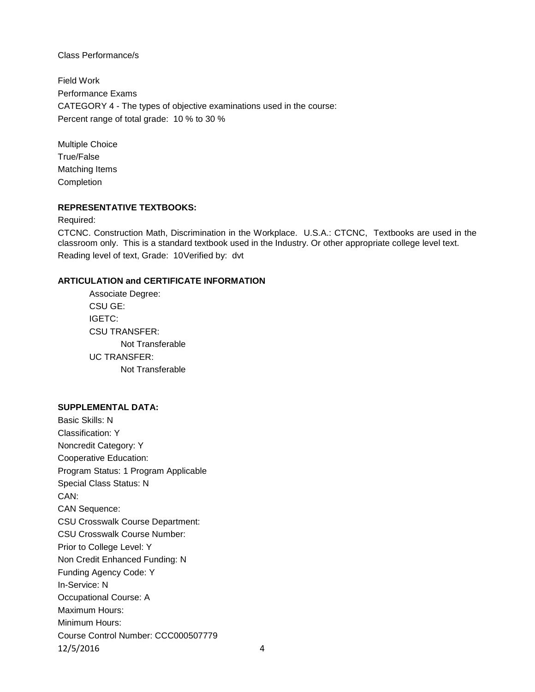Class Performance/s

Field Work Performance Exams CATEGORY 4 - The types of objective examinations used in the course: Percent range of total grade: 10 % to 30 %

Multiple Choice True/False Matching Items Completion

## **REPRESENTATIVE TEXTBOOKS:**

Required:

CTCNC. Construction Math, Discrimination in the Workplace. U.S.A.: CTCNC, Textbooks are used in the classroom only. This is a standard textbook used in the Industry. Or other appropriate college level text. Reading level of text, Grade: 10Verified by: dvt

## **ARTICULATION and CERTIFICATE INFORMATION**

Associate Degree: CSU GE: IGETC: CSU TRANSFER: Not Transferable UC TRANSFER: Not Transferable

#### **SUPPLEMENTAL DATA:**

Basic Skills: N Classification: Y Noncredit Category: Y Cooperative Education: Program Status: 1 Program Applicable Special Class Status: N CAN: CAN Sequence: CSU Crosswalk Course Department: CSU Crosswalk Course Number: Prior to College Level: Y Non Credit Enhanced Funding: N Funding Agency Code: Y In-Service: N Occupational Course: A Maximum Hours: Minimum Hours: Course Control Number: CCC000507779 12/5/2016 4